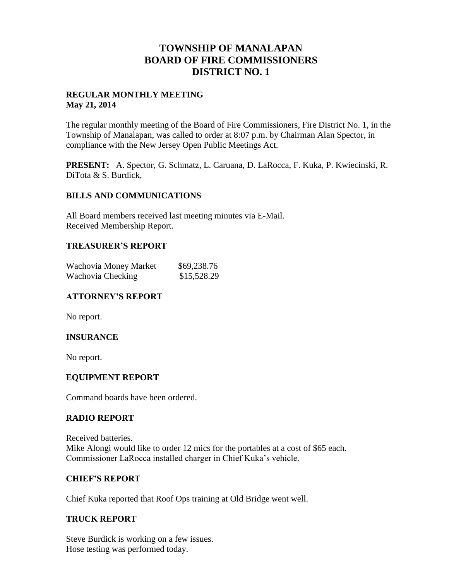# **TOWNSHIP OF MANALAPAN BOARD OF FIRE COMMISSIONERS DISTRICT NO. 1**

### **REGULAR MONTHLY MEETING May 21, 2014**

The regular monthly meeting of the Board of Fire Commissioners, Fire District No. 1, in the Township of Manalapan, was called to order at 8:07 p.m. by Chairman Alan Spector, in compliance with the New Jersey Open Public Meetings Act.

**PRESENT:** A. Spector, G. Schmatz, L. Caruana, D. LaRocca, F. Kuka, P. Kwiecinski, R. DiTota & S. Burdick,

#### **BILLS AND COMMUNICATIONS**

All Board members received last meeting minutes via E-Mail. Received Membership Report.

## **TREASURER'S REPORT**

| Wachovia Money Market | \$69,238.76 |
|-----------------------|-------------|
| Wachovia Checking     | \$15,528.29 |

# **ATTORNEY'S REPORT**

No report.

# **INSURANCE**

No report.

#### **EQUIPMENT REPORT**

Command boards have been ordered.

#### **RADIO REPORT**

Received batteries. Mike Alongi would like to order 12 mics for the portables at a cost of \$65 each. Commissioner LaRocca installed charger in Chief Kuka's vehicle.

#### **CHIEF'S REPORT**

Chief Kuka reported that Roof Ops training at Old Bridge went well.

# **TRUCK REPORT**

Steve Burdick is working on a few issues. Hose testing was performed today.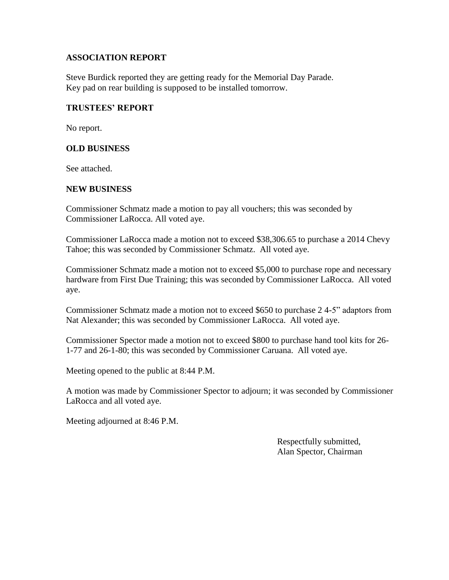## **ASSOCIATION REPORT**

Steve Burdick reported they are getting ready for the Memorial Day Parade. Key pad on rear building is supposed to be installed tomorrow.

### **TRUSTEES' REPORT**

No report.

## **OLD BUSINESS**

See attached.

## **NEW BUSINESS**

Commissioner Schmatz made a motion to pay all vouchers; this was seconded by Commissioner LaRocca. All voted aye.

Commissioner LaRocca made a motion not to exceed \$38,306.65 to purchase a 2014 Chevy Tahoe; this was seconded by Commissioner Schmatz. All voted aye.

Commissioner Schmatz made a motion not to exceed \$5,000 to purchase rope and necessary hardware from First Due Training; this was seconded by Commissioner LaRocca. All voted aye.

Commissioner Schmatz made a motion not to exceed \$650 to purchase 2 4-5" adaptors from Nat Alexander; this was seconded by Commissioner LaRocca. All voted aye.

Commissioner Spector made a motion not to exceed \$800 to purchase hand tool kits for 26- 1-77 and 26-1-80; this was seconded by Commissioner Caruana. All voted aye.

Meeting opened to the public at 8:44 P.M.

A motion was made by Commissioner Spector to adjourn; it was seconded by Commissioner LaRocca and all voted aye.

Meeting adjourned at 8:46 P.M.

 Respectfully submitted, Alan Spector, Chairman